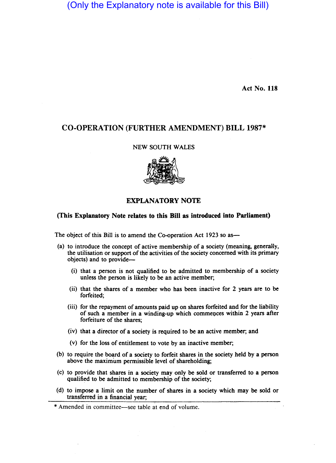(Only the Explanatory note is available for this Bill)

Act No. 118

# CO·OPERATION (FURTHER AMENDMENT) BILL 1987\*

### NEW SOUTH WALES



## EXPLANATORY NOTE

### (This Explanatory Note relates to this Bill as introduced into Parliament)

The object of this Bill is to amend the Co-operation Act 1923 so as—

- (a) to introduce the concept of active membership of a society (meaning, generally, the utilisation or support of the activities of the society concerned with its primary objects) and to provide-
	- (i) that a person is not qualified to be admitted to membership of a society unless the person is likely to be an active member;
	- (ii) that the shares of a member who has been inactive for 2 years are to be forfeited;
	- (iii) for the repayment of amounts paid up on shares forfeited and for the liability of such a member in a winding-up which commeoces within 2 years after forfeiture of the shares;
	- (iv) that a director of a society is required to be an active member; and
	- (v) for the loss of entitlement to vote by an inactive member;
- (b) to require the board of a society to forfeit shares in the society held by a person above the maximum permissible level of shareholding;
- (c) to provide that shares in a society may only be sold or transferred to a person qualified to be admitted to membership of the society;
- (d) to impose a limit on the number of shares in a society which may be sold or transferred in a financial year;

<sup>\*</sup> Amended in committee-see table at end of volume.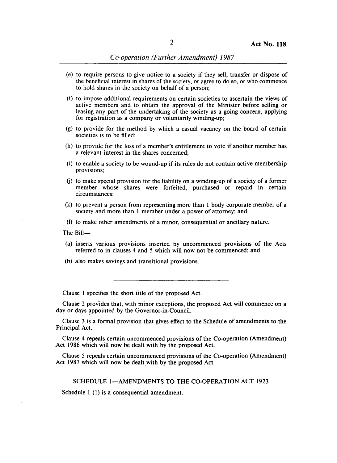- (e) to require persons to give notice to a society if they sell, transfer or dispose of the beneficial interest in shares of the society, or agree to do so, or who commence to hold shares in the society on behalf of a person;
- (f) to impose additional requirements on certain societies to ascertain the views of active members and to obtain the approval of the Minister before selling or leasing any part of the undertaking of the society as a going concern, applying for registration as a company or voluntarily winding-up;
- (g) to provide for the method by which a casual vacancy on the board of certain societies is to be filled;
- (h) to provide for the loss of a member's entitlement to vote if another member has a relevant interest in the shares concerned;
- (i) to enable a society to be wound-up if its rules do not contain active membership provisions;
- (j) to make special provision for the liability on a winding-up of a society of a former member whose shares were forfeited, purchased or repaid in certain circumstances;
- (k) to prevent a person from representing more than I body corporate member of a society and more than I member under a power of attorney; and
- (I) to make other amendments of a minor, consequential or ancillary nature.
- The Bill-
- (a) inserts various provisions inserted by uncommenced provisions of the Acts referred to in clauses 4 and 5 which will now not be commenced; and
- (b) also makes savings and transitional provisions.

Clause I specifies the short title of the proposed Act.

Clause 2 provides that, with minor exceptions, the proposed Act will commence on a day or days appointed by the Governor-in-Council.

Clause 3 is a formal provision that gives effect to the Schedule of amendments to the Principal Act.

Clause 4 repeals certain uncommenced provisions of the Co-operation (Amendment) Act 1986 which will now be dealt with by the proposed Act.

Clause 5 repeals certain uncommenced provisions of the Co-operation (Amendment) Act 1987 which will now be dealt with by the proposed Act.

#### SCHEDULE 1-AMENDMENTS TO THE CO-OPERATION ACT 1923

Schedule 1 (1) is a consequential amendment.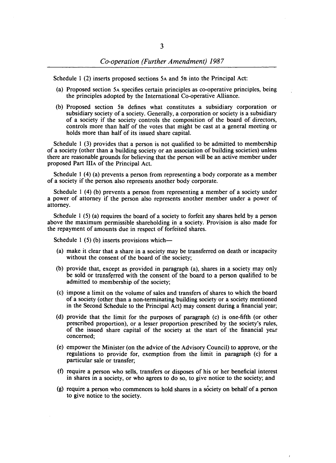Schedule 1 (2) inserts proposed sections 5A and 5B into the Principal Act:

- (a) Proposed section 5A specifies certain principles as co-operative principles, being the principles adopted by the International Co-operative Alliance.
- (b) Proposed section 5B defines what constitutes a subsidiary corporation or subsidiary society of a society. Generally, a corporation or society is a subsidiary of a society if the society controls the composition of the board of directors, controls more than half of the votes that might be cast at a general meeting or holds more than half of its issued share capital.

Schedule 1 (3) provides that a person is not qualified to be admitted to membership of a society (other than a building society or ·an association of building societies) unless there are reasonable grounds for believing that the person will be an active member under proposed Part IlIA of the Principal Act.

Schedule 1 (4) (a) prevents a person from representing a body corporate as a member of a society if the person also represents another body corporate.

Schedule 1 (4) (b) prevents a person from representing a member of a society under a power of attorney if the person also represents another member under a power of attorney.

Schedule 1 (5) (a) requires the board of a society to forfeit any shares held by a person above the maximum permissible shareholding in a society. Provision is also made for the repayment of amounts due in respect of forfeited shares.

Schedule 1 (5) (b) inserts provisions which—

- (a) make it clear that a share in a society may be transferred on death or incapacity without the consent of the board of the society;
- (b) provide that, except as provided in paragraph (a), shares in a society may only be sold or transferred with the consent of the board to a person qualified to be admitted to membership of the society;
- (c) impose a limit on the volume of sales and transfers of shares to which the board of a society (other than a non-terminating building society or a society mentioned in the Second Schedule to the Principal Act) may consent during a financial year;
- (d) provide that the limit for the purposes of paragraph (c) is one-fifth (or other prescribed proportion), or a lesser proportion prescribed by the society's rules, of the issued share capital of the society at the start of the financial year concerned;
- (e) empower the Minister (on the advice of the Advisory Council) to approve, or the regulations to provide for, exemption from the limit in paragraph (c) for a particular sale or transfer;
- (f) require a person who sells, transfers or disposes of his or her beneficial interest in shares in a society, or who agrees to do so, to give notice to the society; and
- $(g)$  require a person who commences to hold shares in a society on behalf of a person to give notice to the society.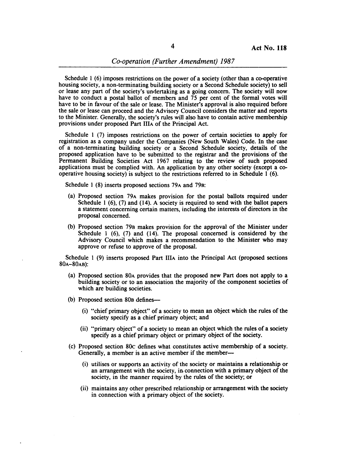Schedule 1 (6) imposes restrictions on the power of a society (other than a co-operative housing society, a non-terminating building society or a Second Schedule society) to sell or lease any part of the society's undertaking as a going concern. The society will now have to conduct a postal ballot of members and 75 per cent of the formal votes will have to be in favour of the sale or lease. The Minister's approval is also required before the sale or lease can proceed and the Advisory Council considers the matter and reports to the Minister. Generally, the society'S rules will also have to contain active membership provisions under proposed Part IlIA of the Principal Act.

Schedule 1 (7) imposes restrictions on the power of certain societies to apply for registration as a company under the Companies (New South Wales) Code. In the case of a non-terminating building society or a Second Schedule society, details of the proposed application have to be submitted to the registrar and the provisions of the Permanent Building Societies Act 1967 relating to the review of such proposed applications must be complied with. An application by any other society (except a cooperative housing society) is subject to the restrictions referred to in Schedule 1 (6).

Schedule 1 (8) inserts proposed sections 79A and 79B:

- (a) Proposed section 79A makes provision for the postal ballots required under Schedule 1 (6), (7) and (14). A society is required to send with the ballot papers a statement concerning certain matters, including the interests of directors in the proposal concerned.
- (b) Proposed section 79B makes provision for the approval of the Minister under Schedule 1 (6), (7) and (14). The proposal concerned is considered by the Advisory Council which makes a recommendation to the Minister who may approve or refuse to approve of the proposal.

Schedule I (9) inserts proposed Part IlIA into the Principal Act (proposed sections 80A-80AB):

- (a) Proposed section 80A provides that the proposed new Part does not apply to a building society or to an association the majority of the component societies of which are building societies.
- (b) Proposed section 80B defines—
	- (i) "chief primary object" of a society to mean an object which the rules of the society specify as a chief primary object; and
	- (ii) "primary object" of a society to mean an object which the rules of a society specify as a chief primary object or primary object of the society.
- (c) Proposed section 80c defines what constitutes active membership of a society. Generally, a member is an active member if the member-
	- (i) utilises or supports an activity of the society or maintains a relationship or an arrangement with the society, in. connection with a primary object of the society, in the manner required by the rules of the society; or
	- (ii) maintains any other prescribed relationship or arrangement with the society in connection with a primary object of the society.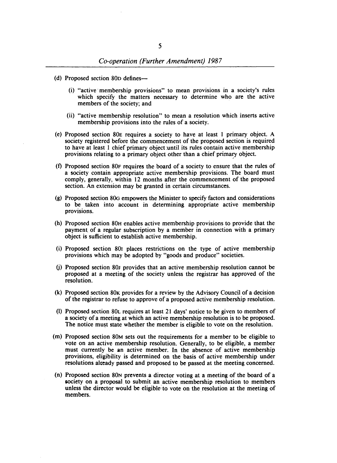- (d) Proposed section 80D defines-
	- (i) "active membership provisions" to mean provisions in a society's rules which specify the matters necessary to determine who are the active members of the society; and
	- (ii) "active membership resolution" to mean a resolution which inserts active membership provisions into the rules of a society.
- (e) Proposed section 80E requires a society to have at least I primary object. A society registered before the commencement of the proposed section is required to have at least 1 chief primary object until its rules contain active membership provisions relating to a primary object other than a chief primary object.
- (f) Proposed section 80F requires the board of a society to ensure that the rules of a society contain appropriate active membership provisions. The board must comply, generally, within 12 months after the commencement of the proposed section. An extension may be granted in certain circumstances.
- (g) Proposed section 80G empowers the Minister to specify factors and considerations to be taken into account in determining appropriate active membership provisions.
- (h) Proposed section 80H enables active membership provisions to provide that the payment of a regular subscription by a member in connection with a primary object is sufficient to establish active membership.
- (i) Proposed section 801 places restrictions on the type of active membership provisions which may be adopted by "goods and produce" societies.
- (j) Proposed section 80J provides that an active membership resolution cannot be proposed at a meeting of the society unless the registrar has approved of the resolution.
- (k) Proposed section 80K provides for a review by the Advisory Council of a decision of the registrar to refuse to approve of a proposed active membership resolution.
- (I) Proposed section 80L requires at least 21 days' notice to be given to members of a society of a meeting at which an active membership resolution is to be proposed. The notice must state whether the member is eligible to vote on the resolution.
- (m) Proposed section 80M sets out the requirements for a member to be eligible to vote on an active membership resolution. Generally, to be eligible, a member must currently be an active member. In the absence of active membership provisions, eligibility is determined on the basis of active membership under resolutions already passed and proposed to be passed at the meeting concerned.
- (n) Proposed section 80N prevents a director voting at a meeting of the board of a society on a proposal to submit an active membership resolution to members unless the director would be eligible to vote on the resolution at the meeting of members.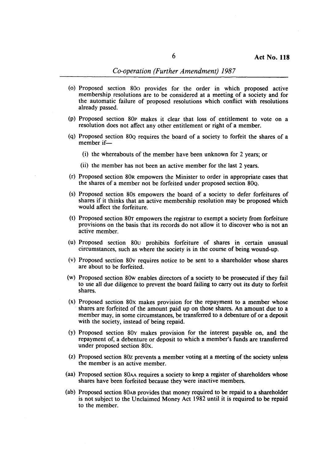## *Co-operation (Further Amendment) 1987*

- (0) Proposed section 800 provides for the order in which proposed active membership resolutions are to be considered at a meeting of a society and for the automatic failure of proposed resolutions which conflict with resolutions already passed.
- (p) Proposed section 80p makes it clear that loss of entitlement to vote on a resolution does not affect any other entitlement or right of a member.
- (q) Proposed section 80Q requires the board of a society to forfeit the shares of a member if-
	- (i) the whereabouts of the member have been unknown for 2 years; or
	- (ii) the member has not been an active member for the last 2 years.
- (r) Proposed section 80R empowers the Minister to order in appropriate cases that the shares of a member not be forfeited under proposed section 8OQ.
- (s) Proposed section 80s empowers the board of a society to defer forfeitures of shares if it thinks that an active membership resolution may be proposed which would affect the forfeiture.
- (t) Proposed section 80T empowers the registrar to exempt a society from forfeiture provisions on the basis that its records do not allow it to discover who is not an active member.
- (u) Proposed section 80u prohibits forfeiture of shares in certain unusual circumstances, such as where the society is in the course of being wound-up.
- (v) Proposed section 80v requires notice to be sent to a shareholder whose shares are about to be forfeited.
- (w) Proposed section 80w enables directors of a society to be prosecuted if they fail to use all due diligence to prevent the board failing to carry out its duty to forfeit shares.
- (x) Proposed section 80x makes provision for the repayment to a member whose shares are forfeited of the amount paid up on those shares. An amount due to a member may, in some circumstances, be transferred to a debenture of or a deposit with the society, instead of being repaid.
- (y) Proposed section 80y makes provision for the interest payable on, and the repayment of, a debenture or deposit to which a member's funds are transferred under proposed section 80x.
- (z) Proposed section 80z prevents a member voting at a meeting of the society unless the member is an active member. .
- (aa) Proposed section 80AA requires a society to keep a register of shareholders whose shares have been forfeited because they were inactive members.
- (ab) Proposed section 80AB provides that money required to be repaid to a shareholder is not subject to the Unclaimed Money Act 1982 until it is required to be repaid to the member.